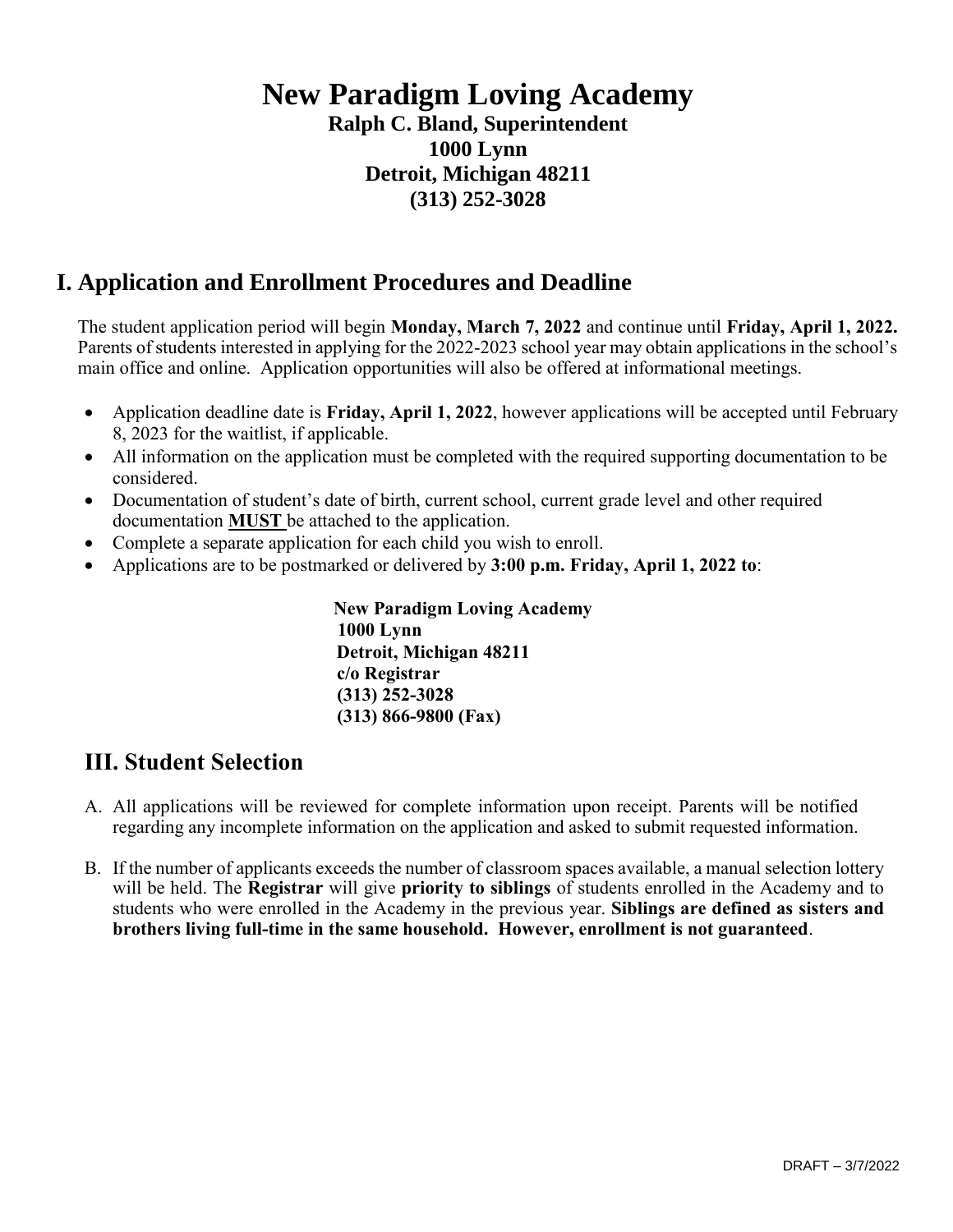## **New Paradigm Loving Academy**

**Ralph C. Bland, Superintendent 1000 Lynn Detroit, Michigan 48211 (313) 252-3028**

#### **I. Application and Enrollment Procedures and Deadline**

The student application period will begin **Monday, March 7, 2022** and continue until **Friday, April 1, 2022.**  Parents of students interested in applying for the 2022-2023 school year may obtain applications in the school's main office and online. Application opportunities will also be offered at informational meetings.

- Application deadline date is **Friday, April 1, 2022**, however applications will be accepted until February 8, 2023 for the waitlist, if applicable.
- All information on the application must be completed with the required supporting documentation to be considered.
- Documentation of student's date of birth, current school, current grade level and other required documentation **MUST** be attached to the application.
- Complete a separate application for each child you wish to enroll.
- Applications are to be postmarked or delivered by **3:00 p.m. Friday, April 1, 2022 to**:

**New Paradigm Loving Academy 1000 Lynn Detroit, Michigan 48211 c/o Registrar (313) 252-3028 (313) 866-9800 (Fax)** 

#### **III. Student Selection**

- A. All applications will be reviewed for complete information upon receipt. Parents will be notified regarding any incomplete information on the application and asked to submit requested information.
- B. If the number of applicants exceeds the number of classroom spaces available, a manual selection lottery will be held. The **Registrar** will give **priority to siblings** of students enrolled in the Academy and to students who were enrolled in the Academy in the previous year. **Siblings are defined as sisters and brothers living full-time in the same household. However, enrollment is not guaranteed**.